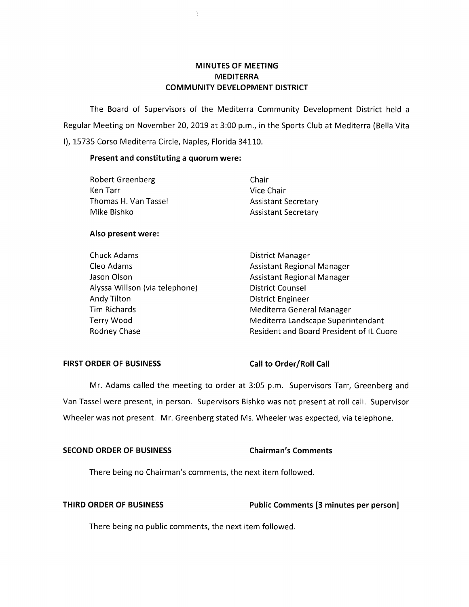# **MINUTES OF MEETING MEDITERRA COMMUNITY DEVELOPMENT DISTRICT**

The Board of Supervisors of the Mediterra Community Development District held a Regular Meeting on November 20, 2019 at 3:00 p.m., in the Sports Club at Mediterra (Bella Vita I), 15735 Corso Mediterra Circle, Naples, Florida 34110.

### **Present and constituting a quorum were:**

| Chair                      |
|----------------------------|
| Vice Chair                 |
| <b>Assistant Secretary</b> |
| <b>Assistant Secretary</b> |
|                            |

 $\mathcal{Y}$ 

# **Also present were:**

| Chuck Adams                    | <b>District Manager</b>                  |
|--------------------------------|------------------------------------------|
| Cleo Adams                     | <b>Assistant Regional Manager</b>        |
| Jason Olson                    | <b>Assistant Regional Manager</b>        |
| Alyssa Willson (via telephone) | <b>District Counsel</b>                  |
| Andy Tilton                    | <b>District Engineer</b>                 |
| <b>Tim Richards</b>            | Mediterra General Manager                |
| Terry Wood                     | Mediterra Landscape Superintendant       |
| Rodney Chase                   | Resident and Board President of IL Cuore |

# FIRST ORDER OF BUSINESS Call to Order/Roll Call

Mr. Adams called the meeting to order at 3:05 p.m. Supervisors Tarr, Greenberg and Van Tassel were present, in person. Supervisors Bishko was not present at roll call. Supervisor Wheeler was not present. Mr. Greenberg stated Ms. Wheeler was expected, via telephone.

# **SECOND ORDER OF BUSINESS Chairman's Comments**

There being no Chairman's comments, the next item followed.

# **THIRD ORDER OF BUSINESS Public Comments [3 minutes per person]**

There being no public comments, the next item followed.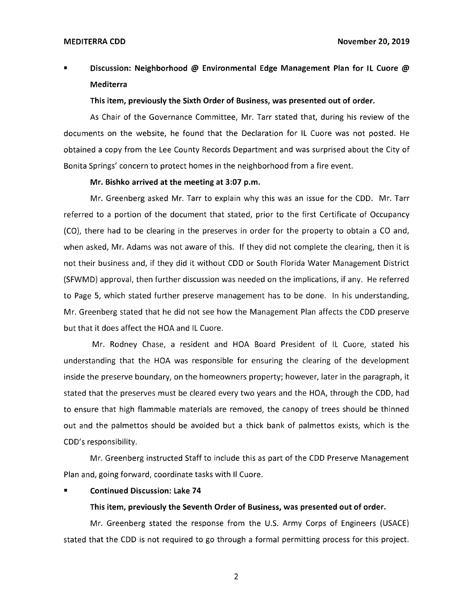# ■ **Discussion: Neighborhood @ Environmental Edge Management Plan for IL Cuore** @ **Mediterra**

### **This item, previously the Sixth Order of Business, was presented out of order.**

As Chair of the Governance Committee, Mr. Tarr stated that, during his review of the documents on the website, he found that the Declaration for IL Cuore was not posted. He obtained a copy from the Lee County Records Department and was surprised about the City of Bonita Springs' concern to protect homes in the neighborhood from a fire event.

### **Mr. Bishko arrived at the meeting at 3:07 p.m.**

Mr. Greenberg asked Mr. Tarr to explain why this was an issue for the CDD. Mr. Tarr referred to a portion of the document that stated, prior to the first Certificate of Occupancy (CO), there had to be clearing in the preserves in order for the property to obtain a CO and, when asked, Mr. Adams was not aware of this. If they did not complete the clearing, then it is not their business and, if they did it without CDD or South Florida Water Management District (SFWMD) approval, then further discussion was needed on the implications, if any. He referred to Page 5, which stated further preserve management has to be done. In his understanding, Mr. Greenberg stated that he did not see how the Management Plan affects the CDD preserve but that it does affect the HOA and IL Cuore.

Mr. Rodney Chase, a resident and HOA Board President of IL Cuore, stated his understanding that the HOA was responsible for ensuring the clearing of the development inside the preserve boundary, on the homeowners property; however, later in the paragraph, it stated that the preserves must be cleared every two years and the HOA, through the CDD, had to ensure that high flammable materials are removed, the canopy of trees should be thinned out and the palmettos should be avoided but a thick bank of palmettos exists, which is the CDD's responsibility.

Mr. Greenberg instructed Staff to include this as part of the CDD Preserve Management Plan and, going forward, coordinate tasks with II Cuore.

### **Continued Discussion: Lake 74**

### **This item, previously the Seventh Order of Business, was presented out of order.**

Mr. Greenberg stated the response from the U.S. Army Corps of Engineers (USACE) stated that the CDD is not required to go through a formal permitting process for this project.

2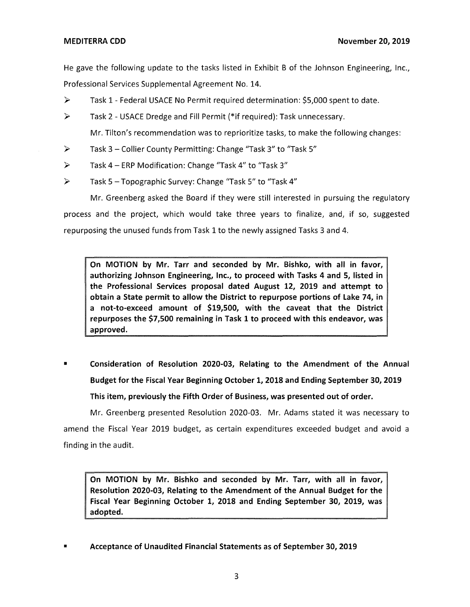He gave the following update to the tasks listed in Exhibit B of the Johnson Engineering, Inc., Professional Services Supplemental Agreement No. 14.

- ► Task 1 Federal USACE No Permit required determination: \$5,000 spent to date.
- ► Task 2 USACE Dredge and Fill Permit (\*if required): Task unnecessary.

Mr. Tilton's recommendation was to reprioritize tasks, to make the following changes:

- ► Task 3 Collier County Permitting: Change "Task 3" to "Task 5"
- ► Task 4 ERP Modification: Change "Task 4" to "Task 3"
- ► Task 5 Topographic Survey: Change "Task 5" to "Task 4"

Mr. Greenberg asked the Board if they were still interested in pursuing the regulatory process and the project, which would take three years to finalize, and, if so, suggested repurposing the unused funds from Task 1 to the newly assigned Tasks 3 and 4.

**On MOTION by Mr. Tarr and seconded by Mr. Bishko, with all in favor, authorizing Johnson Engineering, Inc., to proceed with Tasks 4 and 5, listed in the Professional Services proposal dated August 12, 2019 and attempt to obtain a State permit to allow the District to repurpose portions of Lake 74, in a not-to-exceed amount of \$19,500, with the caveat that the District repurposes the \$7,500 remaining in Task 1 to proceed with this endeavor, was approved.** 

• **Consideration of Resolution 2020-03, Relating to the Amendment of the Annual Budget for the Fiscal Year Beginning October 1, 2018 and Ending September 30, 2019 This item, previously the Fifth Order of Business, was presented out of order.** 

Mr. Greenberg presented Resolution 2020-03. Mr. Adams stated it was necessary to amend the Fiscal Year 2019 budget, as certain expenditures exceeded budget and avoid a finding in the audit.

**On MOTION by Mr. Bishko and seconded by Mr. Tarr, with all in favor, Resolution 2020-03, Relating to the Amendment of the Annual Budget for the Fiscal Year Beginning October 1, 2018 and Ending September 30, 2019, was adopted.** 

• **Acceptance of Unaudited Financial Statements as of September 30, 2019**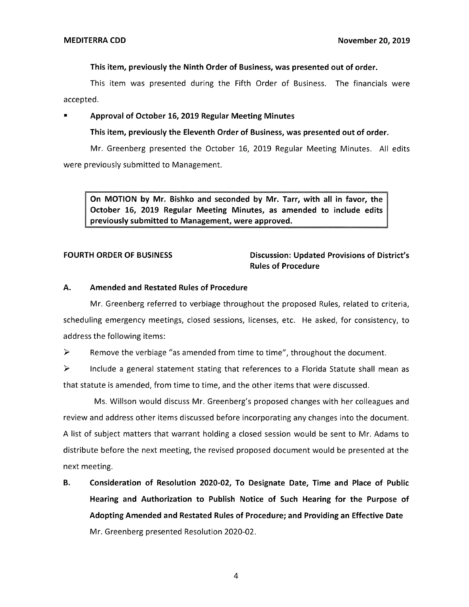### **This item, previously the Ninth Order of Business, was presented out of order.**

This item was presented during the Fifth Order of Business. The financials were accepted.

### • **Approval of October 16, 2019 Regular Meeting Minutes**

### **This item, previously the Eleventh Order of Business, was presented out of order.**

Mr. Greenberg presented the October 16, 2019 Regular Meeting Minutes. All edits were previously submitted to Management.

**On MOTION by Mr. Bishko and seconded by Mr. Tarr, with all in favor, the October 16, 2019 Regular Meeting Minutes, as amended to include edits previously submitted to Management, were approved.** 

# **FOURTH ORDER OF BUSINESS Discussion: Updated Provisions of District's Rules of Procedure**

### **A. Amended and Restated Rules of Procedure**

Mr. Greenberg referred to verbiage throughout the proposed Rules, related to criteria, scheduling emergency meetings, closed sessions, licenses, etc. He asked, for consistency, to address the following items:

 $\triangleright$  Remove the verbiage "as amended from time to time", throughout the document.

 $\triangleright$  Include a general statement stating that references to a Florida Statute shall mean as that statute is amended, from time to time, and the other items that were discussed.

Ms. Willson would discuss Mr. Greenberg's proposed changes with her colleagues and review and address other items discussed before incorporating any changes into the document. A list of subject matters that warrant holding a closed session would be sent to Mr. Adams to distribute before the next meeting, the revised proposed document would be presented at the next meeting.

**B. Consideration of Resolution 2020-02, To Designate Date, Time and Place of Public Hearing and Authorization to Publish Notice of Such Hearing for the Purpose of Adopting Amended and Restated Rules of Procedure; and Providing an Effective Date**  Mr. Greenberg presented Resolution 2020-02.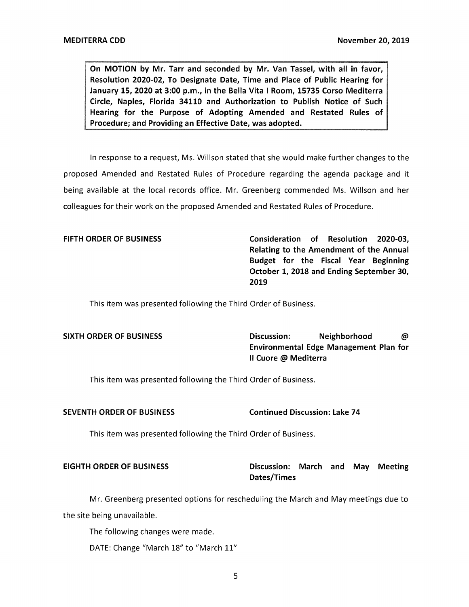**On MOTION by Mr. Tarr and seconded by Mr. Van Tassel, with all in favor, Resolution 2020-02, To Designate Date, Time and Place of Public Hearing for January 15, 2020 at 3:00 p.m., in the Bella Vita** I **Room, 15735 Corso Mediterra Circle, Naples, Florida 34110 and Authorization to Publish Notice of Such Hearing for the Purpose of Adopting Amended and Restated Rules of Procedure; and Providing an Effective Date, was adopted.** 

In response to a request, Ms. Willson stated that she would make further changes to the proposed Amended and Restated Rules of Procedure regarding the agenda package and it being available at the local records office. Mr. Greenberg commended Ms. Willson and her colleagues for their work on the proposed Amended and Restated Rules of Procedure.

**FIFTH ORDER OF BUSINESS Consideration of Resolution 2020-03, Relating to the Amendment of the Annual Budget for the Fiscal Year Beginning October 1, 2018 and Ending September 30, 2019** 

This item was presented following the Third Order of Business.

**SIXTH ORDER OF BUSINESS Discussion: Neighborhood** @ **Environmental Edge Management Plan for**  II **Cuore** @ **Mediterra** 

This item was presented following the Third Order of Business.

### **SEVENTH ORDER OF BUSINESS Continued Discussion: Lake 74**

This item was presented following the Third Order of Business.

# **EIGHTH ORDER OF BUSINESS Discussion: March and May Meeting Dates/Times**

Mr. Greenberg presented options for rescheduling the March and May meetings due to the site being unavailable.

The following changes were made.

DATE: Change "March 18" to "March 11"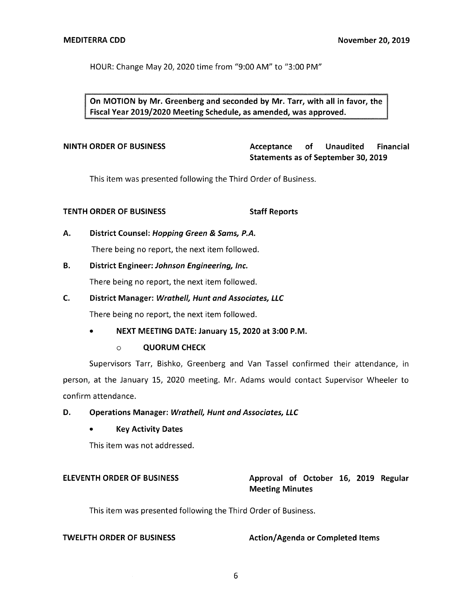HOUR: Change May 20, 2020 time from "9:00 AM" to "3:00 PM"

**On MOTION by Mr. Greenberg and seconded by Mr. Tarr, with all in favor, the Fiscal Year 2019/2020 Meeting Schedule, as amended, was approved.** 

**NINTH ORDER OF BUSINESS Acceptance of Unaudited Financial Statements as of September 30, 2019** 

This item was presented following the Third Order of Business.

# **TENTH ORDER OF BUSINESS STATES STAFF Reports**

# **A. District Counsel: Hopping Green** & **Sams, P.A.**

There being no report, the next item followed.

# **B. District Engineer: Johnson Engineering, Inc.**

There being no report, the next item followed.

# **C. District Manager: Wrathe/1, Hunt and Associates, LLC**

There being no report, the next item followed.

# • **NEXT MEETING DATE: January 15, 2020 at 3:00 P.M.**

# o **QUORUM CHECK**

Supervisors Tarr, Bishko, Greenberg and Van Tassel confirmed their attendance, in person, at the January 15, 2020 meeting. Mr. Adams would contact Supervisor Wheeler to confirm attendance.

# **D.** Operations Manager: Wrathell, Hunt and Associates, LLC

# • **Key Activity Dates**

This item was not addressed.

# **ELEVENTH ORDER OF BUSINESS 4.1 Approval of October 16, 2019 Regular Meeting Minutes**

This item was presented following the Third Order of Business.

**TWELFTH ORDER OF BUSINESS** Action/Agenda or Completed Items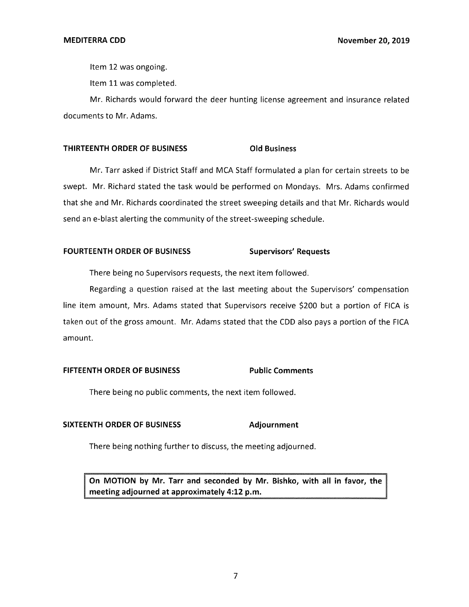Item 12 was ongoing.

Item 11 was completed.

Mr. Richards would forward the deer hunting license agreement and insurance related documents to Mr. Adams.

### **THIRTEENTH ORDER OF BUSINESS Old Business**

Mr. Tarr asked if District Staff and MCA Staff formulated a plan for certain streets to be swept. Mr. Richard stated the task would be performed on Mondays. Mrs. Adams confirmed that she and Mr. Richards coordinated the street sweeping details and that Mr. Richards would send an e-blast alerting the community of the street-sweeping schedule.

### FOURTEENTH ORDER OF BUSINESS Supervisors' Requests

There being no Supervisors requests, the next item followed.

Regarding a question raised at the last meeting about the Supervisors' compensation line item amount, Mrs. Adams stated that Supervisors receive \$200 but a portion of FICA is taken out of the gross amount. Mr. Adams stated that the CDD also pays a portion of the FICA amount.

### **FIFTEENTH ORDER OF BUSINESS Public Comments**

There being no public comments, the next item followed.

# **SIXTEENTH ORDER OF BUSINESS Adjournment**

There being nothing further to discuss, the meeting adjourned.

**On MOTION by Mr. Tarr and seconded by Mr. Bishko, with all in favor, the meeting adjourned at approximately 4:12 p.m.**